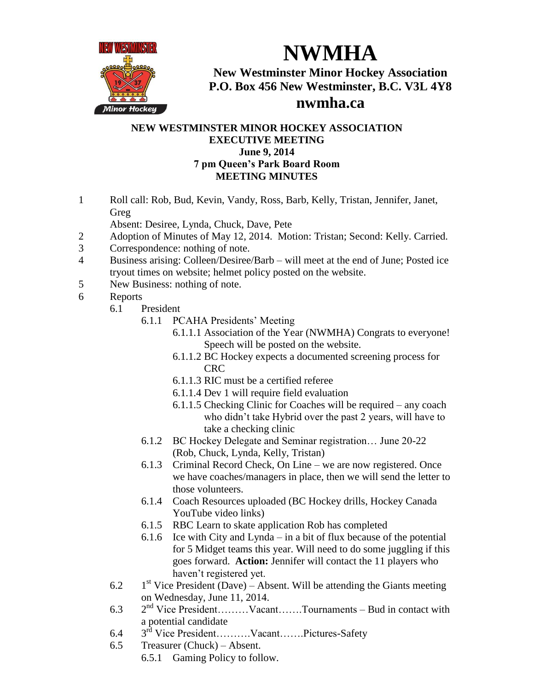

**NWMHA**

**New Westminster Minor Hockey Association P.O. Box 456 New Westminster, B.C. V3L 4Y8**

## **nwmha.ca**

## **NEW WESTMINSTER MINOR HOCKEY ASSOCIATION EXECUTIVE MEETING June 9, 2014 7 pm Queen's Park Board Room MEETING MINUTES**

- 1 Roll call: Rob, Bud, Kevin, Vandy, Ross, Barb, Kelly, Tristan, Jennifer, Janet, Greg
	- Absent: Desiree, Lynda, Chuck, Dave, Pete
- 2 Adoption of Minutes of May 12, 2014. Motion: Tristan; Second: Kelly. Carried.
- 3 Correspondence: nothing of note.
- 4 Business arising: Colleen/Desiree/Barb will meet at the end of June; Posted ice tryout times on website; helmet policy posted on the website.
- 5 New Business: nothing of note.
- 6 Reports
	- 6.1 President
		- 6.1.1 PCAHA Presidents' Meeting
			- 6.1.1.1 Association of the Year (NWMHA) Congrats to everyone! Speech will be posted on the website.
			- 6.1.1.2 BC Hockey expects a documented screening process for CRC
			- 6.1.1.3 RIC must be a certified referee
			- 6.1.1.4 Dev 1 will require field evaluation
			- 6.1.1.5 Checking Clinic for Coaches will be required any coach who didn't take Hybrid over the past 2 years, will have to take a checking clinic
		- 6.1.2 BC Hockey Delegate and Seminar registration… June 20-22 (Rob, Chuck, Lynda, Kelly, Tristan)
		- 6.1.3 Criminal Record Check, On Line we are now registered. Once we have coaches/managers in place, then we will send the letter to those volunteers.
		- 6.1.4 Coach Resources uploaded (BC Hockey drills, Hockey Canada YouTube video links)
		- 6.1.5 RBC Learn to skate application Rob has completed
		- 6.1.6 Ice with City and Lynda in a bit of flux because of the potential for 5 Midget teams this year. Will need to do some juggling if this goes forward. **Action:** Jennifer will contact the 11 players who haven't registered yet.
	- 6.2  $1<sup>st</sup>$  Vice President (Dave) – Absent. Will be attending the Giants meeting on Wednesday, June 11, 2014.
	- 6.3 2<sup>nd</sup> Vice President………Vacant…….Tournaments – Bud in contact with a potential candidate
	- 6.4 a potential calibratic contractions of the Vice President........ Vacant....... Pictures-Safety
	- 6.5 Treasurer (Chuck) Absent.
		- 6.5.1 Gaming Policy to follow.